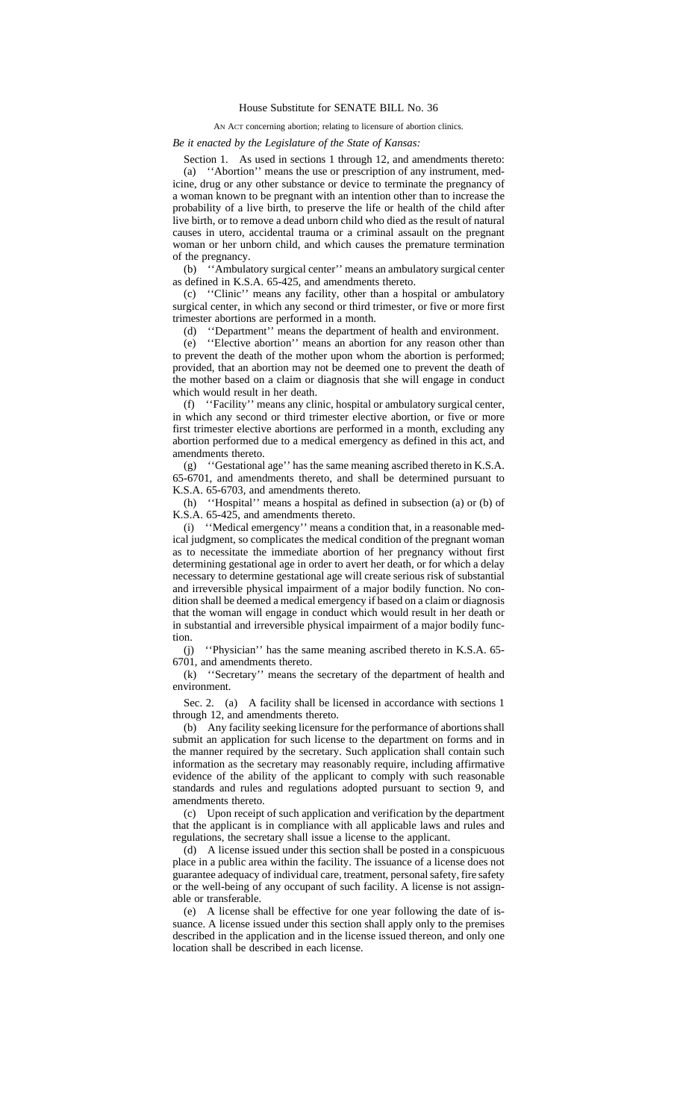## House Substitute for SENATE BILL No. 36

## AN ACT concerning abortion; relating to licensure of abortion clinics.

## *Be it enacted by the Legislature of the State of Kansas:*

Section 1. As used in sections 1 through 12, and amendments thereto: (a) ''Abortion'' means the use or prescription of any instrument, medicine, drug or any other substance or device to terminate the pregnancy of a woman known to be pregnant with an intention other than to increase the probability of a live birth, to preserve the life or health of the child after live birth, or to remove a dead unborn child who died as the result of natural causes in utero, accidental trauma or a criminal assault on the pregnant woman or her unborn child, and which causes the premature termination of the pregnancy.

(b) ''Ambulatory surgical center'' means an ambulatory surgical center as defined in K.S.A. 65-425, and amendments thereto.

(c) ''Clinic'' means any facility, other than a hospital or ambulatory surgical center, in which any second or third trimester, or five or more first trimester abortions are performed in a month.

(d) ''Department'' means the department of health and environment.

(e) ''Elective abortion'' means an abortion for any reason other than to prevent the death of the mother upon whom the abortion is performed; provided, that an abortion may not be deemed one to prevent the death of the mother based on a claim or diagnosis that she will engage in conduct which would result in her death.

(f) ''Facility'' means any clinic, hospital or ambulatory surgical center, in which any second or third trimester elective abortion, or five or more first trimester elective abortions are performed in a month, excluding any abortion performed due to a medical emergency as defined in this act, and amendments thereto.

(g) ''Gestational age'' has the same meaning ascribed thereto in K.S.A. 65-6701, and amendments thereto, and shall be determined pursuant to K.S.A. 65-6703, and amendments thereto.

(h) ''Hospital'' means a hospital as defined in subsection (a) or (b) of K.S.A. 65-425, and amendments thereto.

(i) ''Medical emergency'' means a condition that, in a reasonable medical judgment, so complicates the medical condition of the pregnant woman as to necessitate the immediate abortion of her pregnancy without first determining gestational age in order to avert her death, or for which a delay necessary to determine gestational age will create serious risk of substantial and irreversible physical impairment of a major bodily function. No condition shall be deemed a medical emergency if based on a claim or diagnosis that the woman will engage in conduct which would result in her death or in substantial and irreversible physical impairment of a major bodily function.

(j) ''Physician'' has the same meaning ascribed thereto in K.S.A. 65- 6701, and amendments thereto.

(k) ''Secretary'' means the secretary of the department of health and environment.

Sec. 2. (a) A facility shall be licensed in accordance with sections 1 through 12, and amendments thereto.

(b) Any facility seeking licensure for the performance of abortions shall submit an application for such license to the department on forms and in the manner required by the secretary. Such application shall contain such information as the secretary may reasonably require, including affirmative evidence of the ability of the applicant to comply with such reasonable standards and rules and regulations adopted pursuant to section 9, and amendments thereto.

(c) Upon receipt of such application and verification by the department that the applicant is in compliance with all applicable laws and rules and regulations, the secretary shall issue a license to the applicant.

(d) A license issued under this section shall be posted in a conspicuous place in a public area within the facility. The issuance of a license does not guarantee adequacy of individual care, treatment, personal safety, fire safety or the well-being of any occupant of such facility. A license is not assignable or transferable.

(e) A license shall be effective for one year following the date of issuance. A license issued under this section shall apply only to the premises described in the application and in the license issued thereon, and only one location shall be described in each license.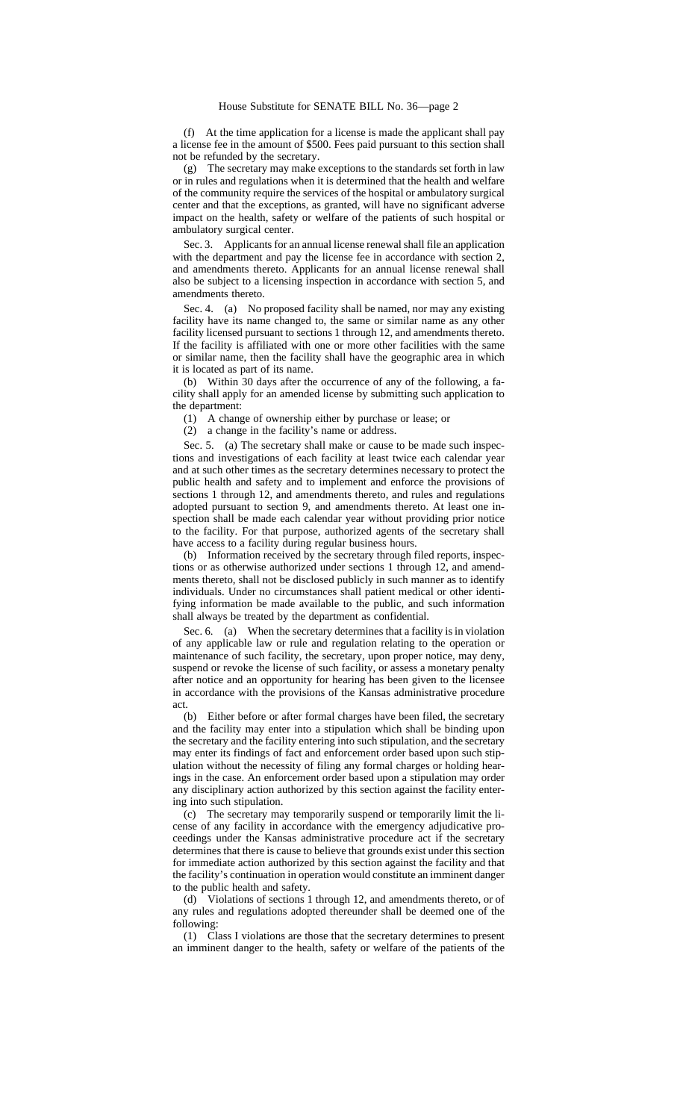(f) At the time application for a license is made the applicant shall pay a license fee in the amount of \$500. Fees paid pursuant to this section shall not be refunded by the secretary.

(g) The secretary may make exceptions to the standards set forth in law or in rules and regulations when it is determined that the health and welfare of the community require the services of the hospital or ambulatory surgical center and that the exceptions, as granted, will have no significant adverse impact on the health, safety or welfare of the patients of such hospital or ambulatory surgical center.

Sec. 3. Applicants for an annual license renewal shall file an application with the department and pay the license fee in accordance with section 2, and amendments thereto. Applicants for an annual license renewal shall also be subject to a licensing inspection in accordance with section 5, and amendments thereto.

Sec. 4. (a) No proposed facility shall be named, nor may any existing facility have its name changed to, the same or similar name as any other facility licensed pursuant to sections 1 through 12, and amendments thereto. If the facility is affiliated with one or more other facilities with the same or similar name, then the facility shall have the geographic area in which it is located as part of its name.

(b) Within 30 days after the occurrence of any of the following, a facility shall apply for an amended license by submitting such application to the department:

(1) A change of ownership either by purchase or lease; or

(2) a change in the facility's name or address.

Sec. 5. (a) The secretary shall make or cause to be made such inspections and investigations of each facility at least twice each calendar year and at such other times as the secretary determines necessary to protect the public health and safety and to implement and enforce the provisions of sections 1 through 12, and amendments thereto, and rules and regulations adopted pursuant to section 9, and amendments thereto. At least one inspection shall be made each calendar year without providing prior notice to the facility. For that purpose, authorized agents of the secretary shall have access to a facility during regular business hours.

(b) Information received by the secretary through filed reports, inspections or as otherwise authorized under sections 1 through 12, and amendments thereto, shall not be disclosed publicly in such manner as to identify individuals. Under no circumstances shall patient medical or other identifying information be made available to the public, and such information shall always be treated by the department as confidential.

Sec. 6. (a) When the secretary determines that a facility is in violation of any applicable law or rule and regulation relating to the operation or maintenance of such facility, the secretary, upon proper notice, may deny, suspend or revoke the license of such facility, or assess a monetary penalty after notice and an opportunity for hearing has been given to the licensee in accordance with the provisions of the Kansas administrative procedure act.

(b) Either before or after formal charges have been filed, the secretary and the facility may enter into a stipulation which shall be binding upon the secretary and the facility entering into such stipulation, and the secretary may enter its findings of fact and enforcement order based upon such stipulation without the necessity of filing any formal charges or holding hearings in the case. An enforcement order based upon a stipulation may order any disciplinary action authorized by this section against the facility entering into such stipulation.

(c) The secretary may temporarily suspend or temporarily limit the license of any facility in accordance with the emergency adjudicative proceedings under the Kansas administrative procedure act if the secretary determines that there is cause to believe that grounds exist under this section for immediate action authorized by this section against the facility and that the facility's continuation in operation would constitute an imminent danger to the public health and safety.

(d) Violations of sections 1 through 12, and amendments thereto, or of any rules and regulations adopted thereunder shall be deemed one of the following:

(1) Class I violations are those that the secretary determines to present an imminent danger to the health, safety or welfare of the patients of the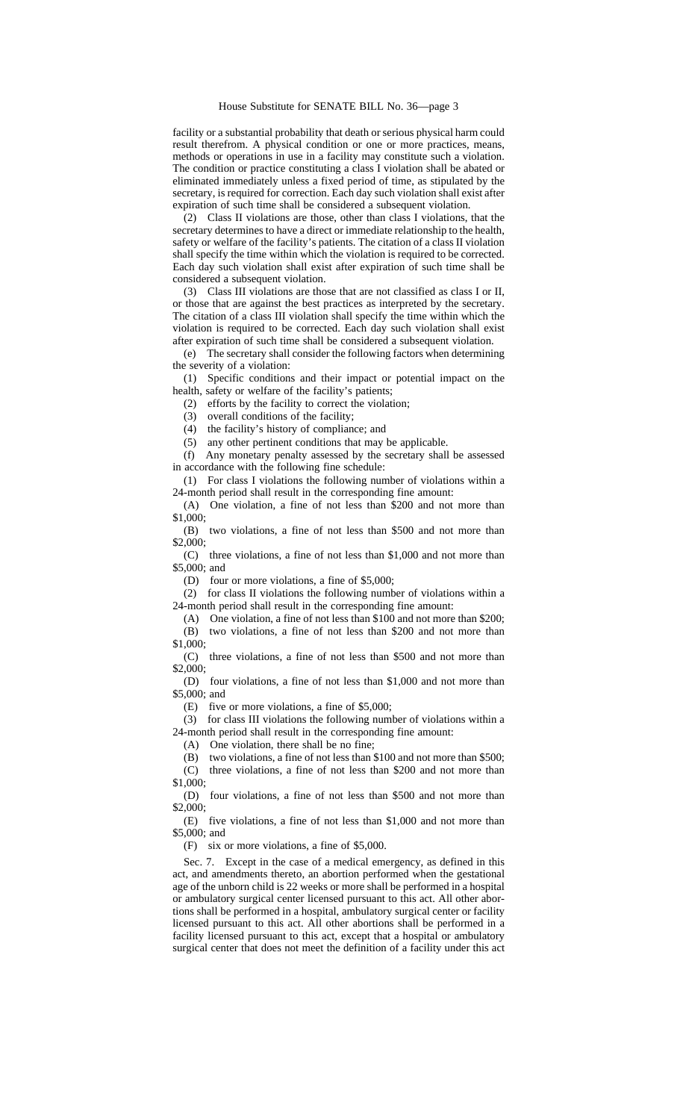facility or a substantial probability that death or serious physical harm could result therefrom. A physical condition or one or more practices, means, methods or operations in use in a facility may constitute such a violation. The condition or practice constituting a class I violation shall be abated or eliminated immediately unless a fixed period of time, as stipulated by the secretary, is required for correction. Each day such violation shall exist after expiration of such time shall be considered a subsequent violation.

(2) Class II violations are those, other than class I violations, that the secretary determines to have a direct or immediate relationship to the health, safety or welfare of the facility's patients. The citation of a class II violation shall specify the time within which the violation is required to be corrected. Each day such violation shall exist after expiration of such time shall be considered a subsequent violation.

(3) Class III violations are those that are not classified as class I or II, or those that are against the best practices as interpreted by the secretary. The citation of a class III violation shall specify the time within which the violation is required to be corrected. Each day such violation shall exist after expiration of such time shall be considered a subsequent violation.

(e) The secretary shall consider the following factors when determining the severity of a violation:

(1) Specific conditions and their impact or potential impact on the health, safety or welfare of the facility's patients;

(2) efforts by the facility to correct the violation;

(3) overall conditions of the facility;

(4) the facility's history of compliance; and

(5) any other pertinent conditions that may be applicable.

(f) Any monetary penalty assessed by the secretary shall be assessed in accordance with the following fine schedule:

(1) For class I violations the following number of violations within a 24-month period shall result in the corresponding fine amount:

(A) One violation, a fine of not less than \$200 and not more than \$1,000;

(B) two violations, a fine of not less than \$500 and not more than \$2,000;

(C) three violations, a fine of not less than \$1,000 and not more than \$5,000; and

(D) four or more violations, a fine of \$5,000;

(2) for class II violations the following number of violations within a 24-month period shall result in the corresponding fine amount:

(A) One violation, a fine of not less than \$100 and not more than \$200; (B) two violations, a fine of not less than \$200 and not more than \$1,000;

(C) three violations, a fine of not less than \$500 and not more than \$2,000;

(D) four violations, a fine of not less than \$1,000 and not more than \$5,000; and

(E) five or more violations, a fine of \$5,000;

(3) for class III violations the following number of violations within a 24-month period shall result in the corresponding fine amount:

(A) One violation, there shall be no fine;

(B) two violations, a fine of not less than \$100 and not more than \$500;

(C) three violations, a fine of not less than \$200 and not more than \$1,000;

(D) four violations, a fine of not less than \$500 and not more than \$2,000;

(E) five violations, a fine of not less than \$1,000 and not more than \$5,000; and

(F) six or more violations, a fine of \$5,000.

Sec. 7. Except in the case of a medical emergency, as defined in this act, and amendments thereto, an abortion performed when the gestational age of the unborn child is 22 weeks or more shall be performed in a hospital or ambulatory surgical center licensed pursuant to this act. All other abortions shall be performed in a hospital, ambulatory surgical center or facility licensed pursuant to this act. All other abortions shall be performed in a facility licensed pursuant to this act, except that a hospital or ambulatory surgical center that does not meet the definition of a facility under this act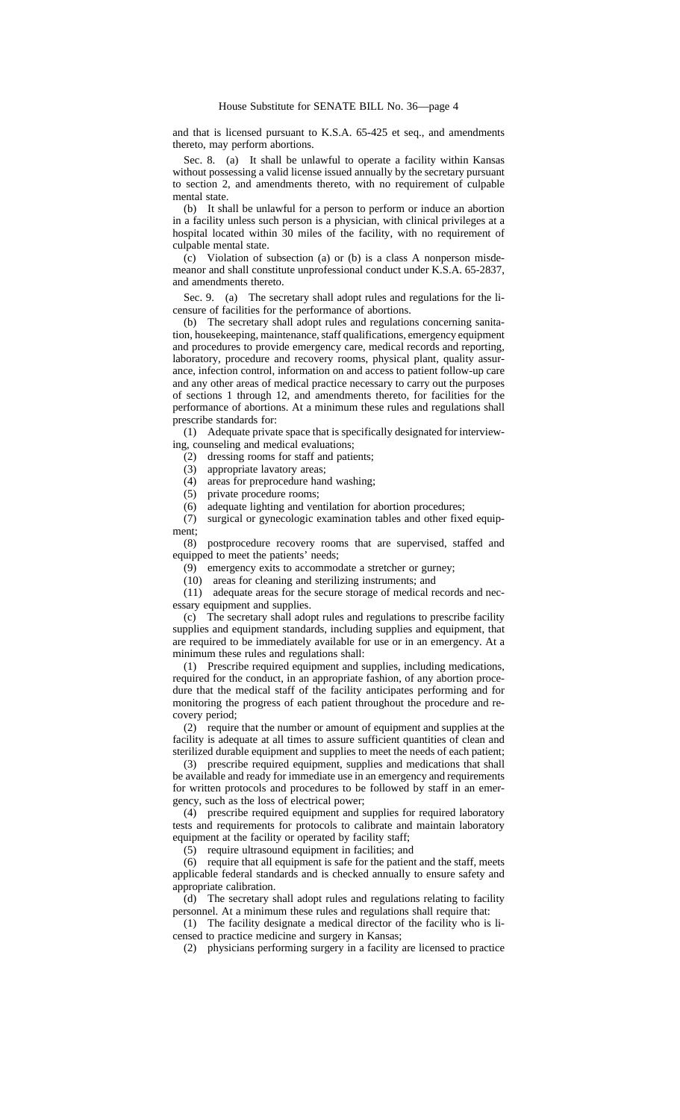and that is licensed pursuant to K.S.A. 65-425 et seq., and amendments thereto, may perform abortions.

Sec. 8. (a) It shall be unlawful to operate a facility within Kansas without possessing a valid license issued annually by the secretary pursuant to section 2, and amendments thereto, with no requirement of culpable mental state.

(b) It shall be unlawful for a person to perform or induce an abortion in a facility unless such person is a physician, with clinical privileges at a hospital located within 30 miles of the facility, with no requirement of culpable mental state.

(c) Violation of subsection (a) or (b) is a class A nonperson misdemeanor and shall constitute unprofessional conduct under K.S.A. 65-2837, and amendments thereto.

Sec. 9. (a) The secretary shall adopt rules and regulations for the licensure of facilities for the performance of abortions.

(b) The secretary shall adopt rules and regulations concerning sanitation, housekeeping, maintenance, staff qualifications, emergency equipment and procedures to provide emergency care, medical records and reporting, laboratory, procedure and recovery rooms, physical plant, quality assurance, infection control, information on and access to patient follow-up care and any other areas of medical practice necessary to carry out the purposes of sections 1 through 12, and amendments thereto, for facilities for the performance of abortions. At a minimum these rules and regulations shall prescribe standards for:

(1) Adequate private space that is specifically designated for interviewing, counseling and medical evaluations;

(2) dressing rooms for staff and patients;

(3) appropriate lavatory areas;

(4) areas for preprocedure hand washing;

(5) private procedure rooms;

(6) adequate lighting and ventilation for abortion procedures;

(7) surgical or gynecologic examination tables and other fixed equipment;

(8) postprocedure recovery rooms that are supervised, staffed and equipped to meet the patients' needs;

(9) emergency exits to accommodate a stretcher or gurney;

(10) areas for cleaning and sterilizing instruments; and

(11) adequate areas for the secure storage of medical records and necessary equipment and supplies.

(c) The secretary shall adopt rules and regulations to prescribe facility supplies and equipment standards, including supplies and equipment, that are required to be immediately available for use or in an emergency. At a minimum these rules and regulations shall:

(1) Prescribe required equipment and supplies, including medications, required for the conduct, in an appropriate fashion, of any abortion procedure that the medical staff of the facility anticipates performing and for monitoring the progress of each patient throughout the procedure and recovery period;

(2) require that the number or amount of equipment and supplies at the facility is adequate at all times to assure sufficient quantities of clean and sterilized durable equipment and supplies to meet the needs of each patient;

(3) prescribe required equipment, supplies and medications that shall be available and ready for immediate use in an emergency and requirements for written protocols and procedures to be followed by staff in an emergency, such as the loss of electrical power;

(4) prescribe required equipment and supplies for required laboratory tests and requirements for protocols to calibrate and maintain laboratory equipment at the facility or operated by facility staff;

(5) require ultrasound equipment in facilities; and

(6) require that all equipment is safe for the patient and the staff, meets applicable federal standards and is checked annually to ensure safety and appropriate calibration.

(d) The secretary shall adopt rules and regulations relating to facility personnel. At a minimum these rules and regulations shall require that:

(1) The facility designate a medical director of the facility who is licensed to practice medicine and surgery in Kansas;

(2) physicians performing surgery in a facility are licensed to practice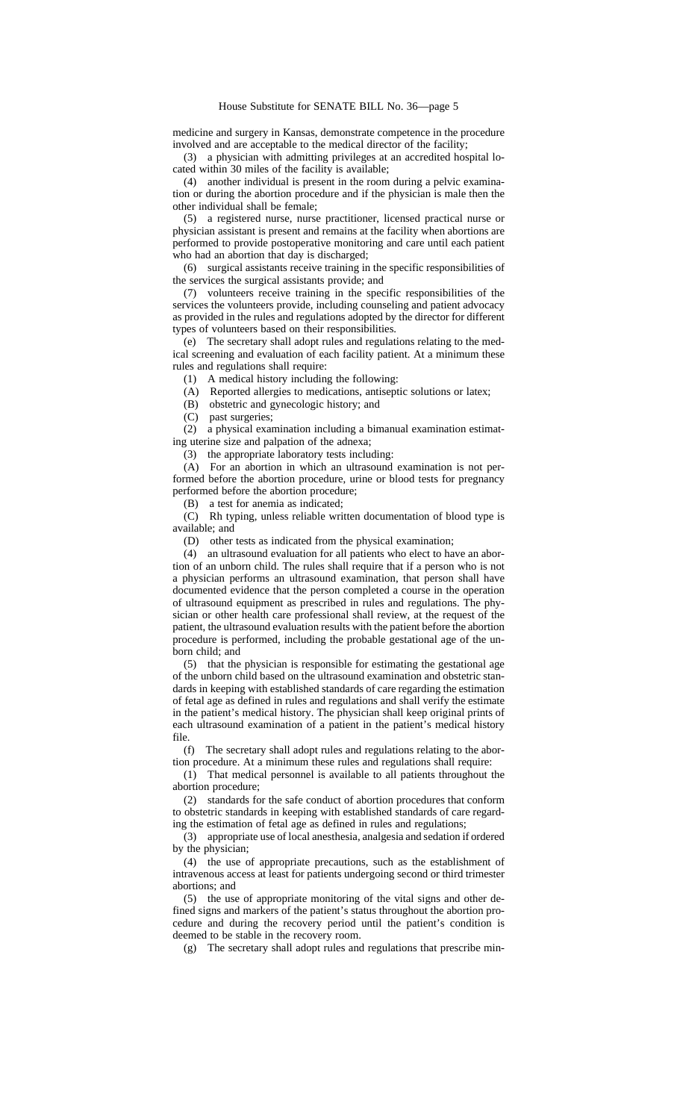medicine and surgery in Kansas, demonstrate competence in the procedure involved and are acceptable to the medical director of the facility;

(3) a physician with admitting privileges at an accredited hospital located within 30 miles of the facility is available;

(4) another individual is present in the room during a pelvic examination or during the abortion procedure and if the physician is male then the other individual shall be female;

(5) a registered nurse, nurse practitioner, licensed practical nurse or physician assistant is present and remains at the facility when abortions are performed to provide postoperative monitoring and care until each patient who had an abortion that day is discharged;

(6) surgical assistants receive training in the specific responsibilities of the services the surgical assistants provide; and

(7) volunteers receive training in the specific responsibilities of the services the volunteers provide, including counseling and patient advocacy as provided in the rules and regulations adopted by the director for different types of volunteers based on their responsibilities.

(e) The secretary shall adopt rules and regulations relating to the medical screening and evaluation of each facility patient. At a minimum these rules and regulations shall require:

(1) A medical history including the following:

(A) Reported allergies to medications, antiseptic solutions or latex;

(B) obstetric and gynecologic history; and

(C) past surgeries;

(2) a physical examination including a bimanual examination estimating uterine size and palpation of the adnexa;

(3) the appropriate laboratory tests including:

(A) For an abortion in which an ultrasound examination is not performed before the abortion procedure, urine or blood tests for pregnancy performed before the abortion procedure;

(B) a test for anemia as indicated;

(C) Rh typing, unless reliable written documentation of blood type is available; and

(D) other tests as indicated from the physical examination;

(4) an ultrasound evaluation for all patients who elect to have an abortion of an unborn child. The rules shall require that if a person who is not a physician performs an ultrasound examination, that person shall have documented evidence that the person completed a course in the operation of ultrasound equipment as prescribed in rules and regulations. The physician or other health care professional shall review, at the request of the patient, the ultrasound evaluation results with the patient before the abortion procedure is performed, including the probable gestational age of the unborn child; and

(5) that the physician is responsible for estimating the gestational age of the unborn child based on the ultrasound examination and obstetric standards in keeping with established standards of care regarding the estimation of fetal age as defined in rules and regulations and shall verify the estimate in the patient's medical history. The physician shall keep original prints of each ultrasound examination of a patient in the patient's medical history file.

(f) The secretary shall adopt rules and regulations relating to the abortion procedure. At a minimum these rules and regulations shall require:

(1) That medical personnel is available to all patients throughout the abortion procedure;

(2) standards for the safe conduct of abortion procedures that conform to obstetric standards in keeping with established standards of care regarding the estimation of fetal age as defined in rules and regulations;

(3) appropriate use of local anesthesia, analgesia and sedation if ordered by the physician;

(4) the use of appropriate precautions, such as the establishment of intravenous access at least for patients undergoing second or third trimester abortions; and

(5) the use of appropriate monitoring of the vital signs and other defined signs and markers of the patient's status throughout the abortion procedure and during the recovery period until the patient's condition is deemed to be stable in the recovery room.

(g) The secretary shall adopt rules and regulations that prescribe min-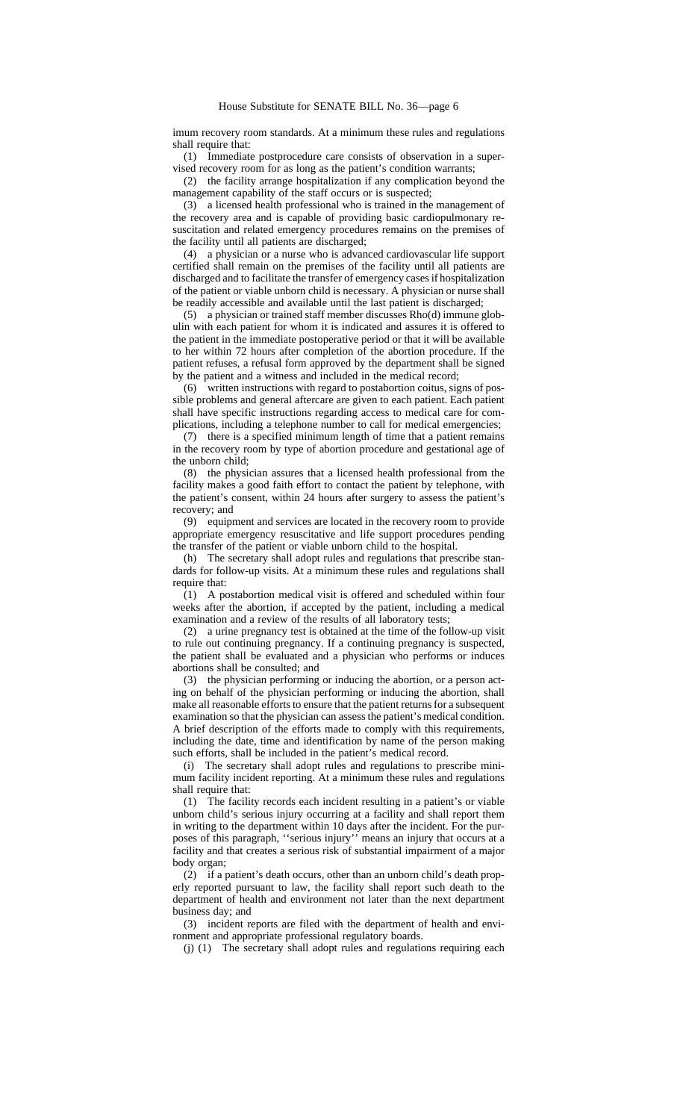imum recovery room standards. At a minimum these rules and regulations shall require that:

(1) Immediate postprocedure care consists of observation in a supervised recovery room for as long as the patient's condition warrants;

(2) the facility arrange hospitalization if any complication beyond the management capability of the staff occurs or is suspected;

(3) a licensed health professional who is trained in the management of the recovery area and is capable of providing basic cardiopulmonary resuscitation and related emergency procedures remains on the premises of the facility until all patients are discharged;

(4) a physician or a nurse who is advanced cardiovascular life support certified shall remain on the premises of the facility until all patients are discharged and to facilitate the transfer of emergency cases if hospitalization of the patient or viable unborn child is necessary. A physician or nurse shall be readily accessible and available until the last patient is discharged;

(5) a physician or trained staff member discusses Rho(d) immune globulin with each patient for whom it is indicated and assures it is offered to the patient in the immediate postoperative period or that it will be available to her within 72 hours after completion of the abortion procedure. If the patient refuses, a refusal form approved by the department shall be signed by the patient and a witness and included in the medical record;

(6) written instructions with regard to postabortion coitus, signs of possible problems and general aftercare are given to each patient. Each patient shall have specific instructions regarding access to medical care for complications, including a telephone number to call for medical emergencies;

(7) there is a specified minimum length of time that a patient remains in the recovery room by type of abortion procedure and gestational age of the unborn child;

(8) the physician assures that a licensed health professional from the facility makes a good faith effort to contact the patient by telephone, with the patient's consent, within 24 hours after surgery to assess the patient's recovery; and

(9) equipment and services are located in the recovery room to provide appropriate emergency resuscitative and life support procedures pending the transfer of the patient or viable unborn child to the hospital.

(h) The secretary shall adopt rules and regulations that prescribe standards for follow-up visits. At a minimum these rules and regulations shall require that:

(1) A postabortion medical visit is offered and scheduled within four weeks after the abortion, if accepted by the patient, including a medical examination and a review of the results of all laboratory tests;

(2) a urine pregnancy test is obtained at the time of the follow-up visit to rule out continuing pregnancy. If a continuing pregnancy is suspected, the patient shall be evaluated and a physician who performs or induces abortions shall be consulted; and

(3) the physician performing or inducing the abortion, or a person acting on behalf of the physician performing or inducing the abortion, shall make all reasonable efforts to ensure that the patient returns for a subsequent examination so that the physician can assess the patient's medical condition. A brief description of the efforts made to comply with this requirements, including the date, time and identification by name of the person making such efforts, shall be included in the patient's medical record.

(i) The secretary shall adopt rules and regulations to prescribe minimum facility incident reporting. At a minimum these rules and regulations shall require that:

(1) The facility records each incident resulting in a patient's or viable unborn child's serious injury occurring at a facility and shall report them in writing to the department within 10 days after the incident. For the purposes of this paragraph, ''serious injury'' means an injury that occurs at a facility and that creates a serious risk of substantial impairment of a major body organ;

(2) if a patient's death occurs, other than an unborn child's death properly reported pursuant to law, the facility shall report such death to the department of health and environment not later than the next department business day; and

(3) incident reports are filed with the department of health and environment and appropriate professional regulatory boards.

(j) (1) The secretary shall adopt rules and regulations requiring each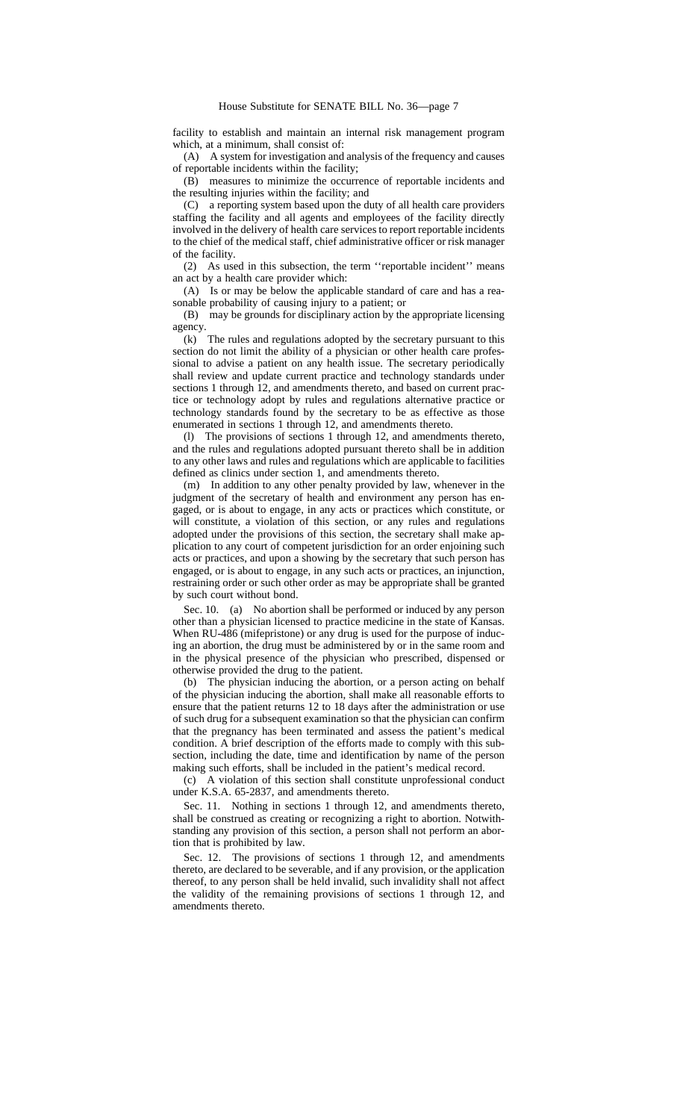facility to establish and maintain an internal risk management program which, at a minimum, shall consist of:

(A) A system for investigation and analysis of the frequency and causes of reportable incidents within the facility;

(B) measures to minimize the occurrence of reportable incidents and the resulting injuries within the facility; and

(C) a reporting system based upon the duty of all health care providers staffing the facility and all agents and employees of the facility directly involved in the delivery of health care services to report reportable incidents to the chief of the medical staff, chief administrative officer or risk manager of the facility.

(2) As used in this subsection, the term ''reportable incident'' means an act by a health care provider which:

(A) Is or may be below the applicable standard of care and has a reasonable probability of causing injury to a patient; or

(B) may be grounds for disciplinary action by the appropriate licensing agency.

(k) The rules and regulations adopted by the secretary pursuant to this section do not limit the ability of a physician or other health care professional to advise a patient on any health issue. The secretary periodically shall review and update current practice and technology standards under sections 1 through 12, and amendments thereto, and based on current practice or technology adopt by rules and regulations alternative practice or technology standards found by the secretary to be as effective as those enumerated in sections 1 through 12, and amendments thereto.

(l) The provisions of sections 1 through 12, and amendments thereto, and the rules and regulations adopted pursuant thereto shall be in addition to any other laws and rules and regulations which are applicable to facilities defined as clinics under section 1, and amendments thereto.

(m) In addition to any other penalty provided by law, whenever in the judgment of the secretary of health and environment any person has engaged, or is about to engage, in any acts or practices which constitute, or will constitute, a violation of this section, or any rules and regulations adopted under the provisions of this section, the secretary shall make application to any court of competent jurisdiction for an order enjoining such acts or practices, and upon a showing by the secretary that such person has engaged, or is about to engage, in any such acts or practices, an injunction, restraining order or such other order as may be appropriate shall be granted by such court without bond.

Sec. 10. (a) No abortion shall be performed or induced by any person other than a physician licensed to practice medicine in the state of Kansas. When RU-486 (mifepristone) or any drug is used for the purpose of inducing an abortion, the drug must be administered by or in the same room and in the physical presence of the physician who prescribed, dispensed or otherwise provided the drug to the patient.

(b) The physician inducing the abortion, or a person acting on behalf of the physician inducing the abortion, shall make all reasonable efforts to ensure that the patient returns 12 to 18 days after the administration or use of such drug for a subsequent examination so that the physician can confirm that the pregnancy has been terminated and assess the patient's medical condition. A brief description of the efforts made to comply with this subsection, including the date, time and identification by name of the person making such efforts, shall be included in the patient's medical record.

(c) A violation of this section shall constitute unprofessional conduct under K.S.A. 65-2837, and amendments thereto.

Sec. 11. Nothing in sections 1 through 12, and amendments thereto, shall be construed as creating or recognizing a right to abortion. Notwithstanding any provision of this section, a person shall not perform an abortion that is prohibited by law.

Sec. 12. The provisions of sections 1 through 12, and amendments thereto, are declared to be severable, and if any provision, or the application thereof, to any person shall be held invalid, such invalidity shall not affect the validity of the remaining provisions of sections 1 through 12, and amendments thereto.